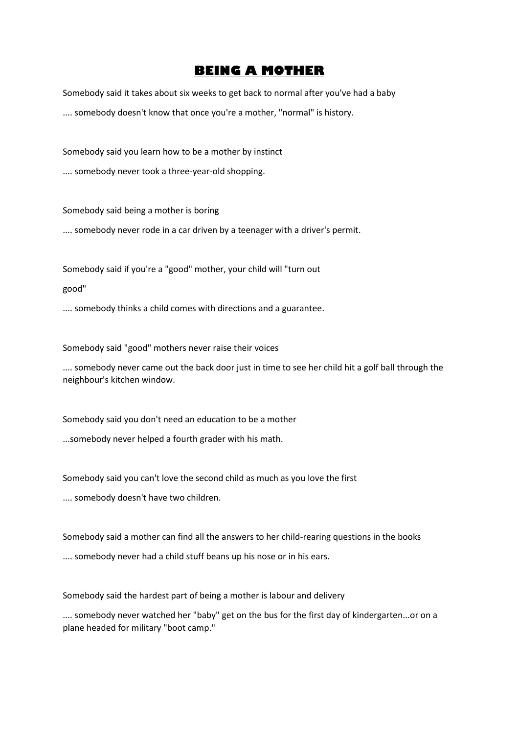## **BEING A MOTHER**

Somebody said it takes about six weeks to get back to normal after you've had a baby .... somebody doesn't know that once you're a mother, "normal" is history.

Somebody said you learn how to be a mother by instinct

.... somebody never took a three-year-old shopping.

Somebody said being a mother is boring .... somebody never rode in a car driven by a teenager with a driver's permit.

Somebody said if you're a "good" mother, your child will "turn out

good"

.... somebody thinks a child comes with directions and a guarantee.

Somebody said "good" mothers never raise their voices

.... somebody never came out the back door just in time to see her child hit a golf ball through the neighbour's kitchen window.

Somebody said you don't need an education to be a mother

...somebody never helped a fourth grader with his math.

Somebody said you can't love the second child as much as you love the first

.... somebody doesn't have two children.

Somebody said a mother can find all the answers to her child-rearing questions in the books .... somebody never had a child stuff beans up his nose or in his ears.

Somebody said the hardest part of being a mother is labour and delivery

.... somebody never watched her "baby" get on the bus for the first day of kindergarten...or on a plane headed for military "boot camp."